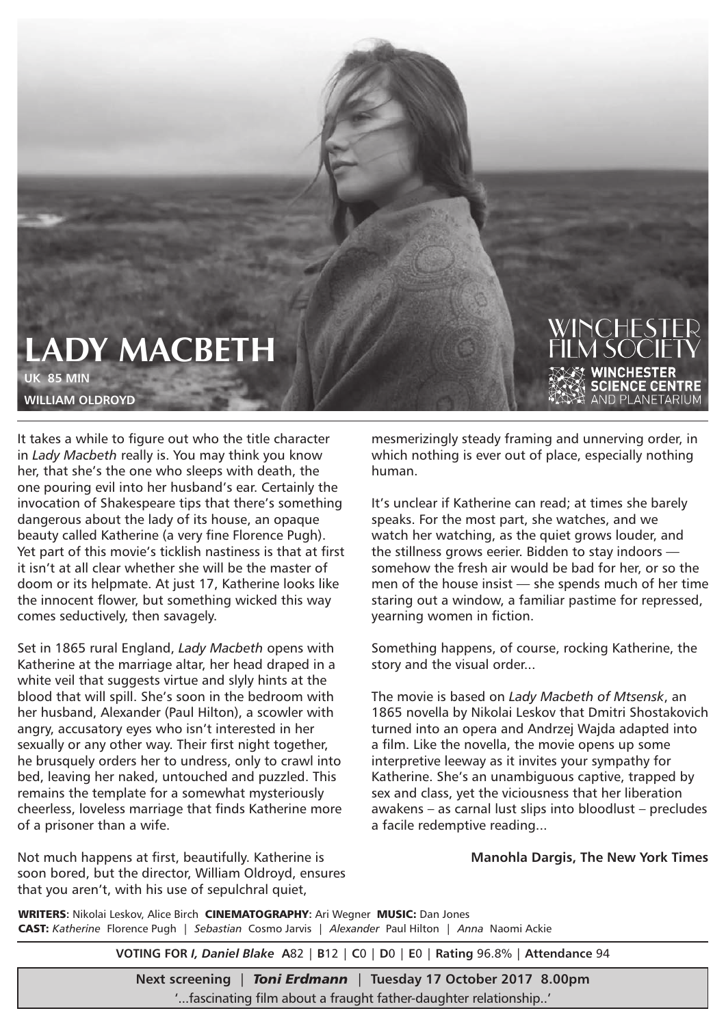## **LADY MACBETH UK 85 MIN**

**WILLIAM OLDROYD** 

It takes a while to figure out who the title character in *Lady Macbeth* really is. You may think you know her, that she's the one who sleeps with death, the one pouring evil into her husband's ear. Certainly the invocation of Shakespeare tips that there's something dangerous about the lady of its house, an opaque beauty called Katherine (a very fine Florence Pugh). Yet part of this movie's ticklish nastiness is that at first it isn't at all clear whether she will be the master of doom or its helpmate. At just 17, Katherine looks like the innocent flower, but something wicked this way comes seductively, then savagely.

Set in 1865 rural England, *Lady Macbeth* opens with Katherine at the marriage altar, her head draped in a white veil that suggests virtue and slyly hints at the blood that will spill. She's soon in the bedroom with her husband, Alexander (Paul Hilton), a scowler with angry, accusatory eyes who isn't interested in her sexually or any other way. Their first night together, he brusquely orders her to undress, only to crawl into bed, leaving her naked, untouched and puzzled. This remains the template for a somewhat mysteriously cheerless, loveless marriage that finds Katherine more of a prisoner than a wife.

Not much happens at first, beautifully. Katherine is soon bored, but the director, William Oldroyd, ensures that you aren't, with his use of sepulchral quiet,

mesmerizingly steady framing and unnerving order, in which nothing is ever out of place, especially nothing human.

It's unclear if Katherine can read; at times she barely speaks. For the most part, she watches, and we watch her watching, as the quiet grows louder, and the stillness grows eerier. Bidden to stay indoors somehow the fresh air would be bad for her, or so the men of the house insist — she spends much of her time staring out a window, a familiar pastime for repressed, yearning women in fiction.

Something happens, of course, rocking Katherine, the story and the visual order...

The movie is based on *Lady Macbeth of Mtsensk*, an 1865 novella by Nikolai Leskov that Dmitri Shostakovich turned into an opera and Andrzej Wajda adapted into a film. Like the novella, the movie opens up some interpretive leeway as it invites your sympathy for Katherine. She's an unambiguous captive, trapped by sex and class, yet the viciousness that her liberation awakens – as carnal lust slips into bloodlust – precludes a facile redemptive reading...

**Manohla Dargis, The New York Times**

WRITERS**:** Nikolai Leskov, Alice Birch CINEMATOGRAPHY**:** Ari Wegner MUSIC: Dan Jones CAST: *Katherine* Florence Pugh | *Sebastian* Cosmo Jarvis | *Alexander* Paul Hilton | *Anna* Naomi Ackie

**VOTING FOR** *I, Daniel Blake* **A**82 | **B**12 | **C**0 | **D**0 | **E**0 | **Rating** 96.8% | **Attendance** 94

**Next screening** | *Toni Erdmann* | **Tuesday 17 October 2017 8.00pm** '...fascinating film about a fraught father-daughter relationship..'